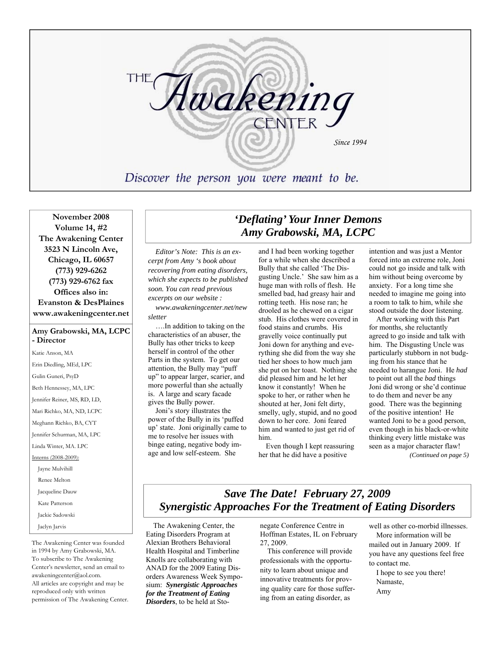

**November 2008 Volume 14, #2 The Awakening Center 3523 N Lincoln Ave, Chicago, IL 60657 (773) 929-6262 (773) 929-6762 fax Offices also in: Evanston & DesPlaines www.awakeningcenter.net**

#### **Amy Grabowski, MA, LCPC - Director**

Katie Anson, MA Erin Diedling, MEd, LPC Gulin Guneri, PsyD Beth Hennessey, MA, LPC Jennifer Reiner, MS, RD, LD, Mari Richko, MA, ND, LCPC Meghann Richko, BA, CYT Jennifer Schurman, MA, LPC Linda Winter, MA. LPC Interns (2008-2009): Jayne Mulvihill Renee Melton Jacqueline Dauw Kate Patterson Jackie Sadowski Jaclyn Jarvis

The Awakening Center was founded in 1994 by Amy Grabowski, MA. To subscribe to The Awakening Center's newsletter, send an email to awakeningcenter@aol.com. All articles are copyright and may be reproduced only with written permission of The Awakening Center.

# *'Deflating' Your Inner Demons Amy Grabowski, MA, LCPC*

*Editor's Note: This is an excerpt from Amy 's book about recovering from eating disorders, which she expects to be published soon. You can read previous excerpts on our website :* 

*www.awakeningcenter.net/new sletter* 

….In addition to taking on the characteristics of an abuser, the Bully has other tricks to keep herself in control of the other Parts in the system. To get our attention, the Bully may "puff up" to appear larger, scarier, and more powerful than she actually is. A large and scary facade gives the Bully power.

Joni's story illustrates the power of the Bully in its 'puffed up' state. Joni originally came to me to resolve her issues with binge eating, negative body image and low self-esteem. She

and I had been working together for a while when she described a Bully that she called 'The Disgusting Uncle.' She saw him as a huge man with rolls of flesh. He smelled bad, had greasy hair and rotting teeth. His nose ran; he drooled as he chewed on a cigar stub. His clothes were covered in food stains and crumbs. His gravelly voice continually put Joni down for anything and everything she did from the way she tied her shoes to how much jam she put on her toast. Nothing she did pleased him and he let her know it constantly! When he spoke to her, or rather when he shouted at her, Joni felt dirty, smelly, ugly, stupid, and no good down to her core. Joni feared him and wanted to just get rid of him.

Even though I kept reassuring her that he did have a positive

intention and was just a Mentor forced into an extreme role, Joni could not go inside and talk with him without being overcome by anxiety. For a long time she needed to imagine me going into a room to talk to him, while she stood outside the door listening.

After working with this Part for months, she reluctantly agreed to go inside and talk with him. The Disgusting Uncle was particularly stubborn in not budging from his stance that he needed to harangue Joni. He *had* to point out all the *bad* things Joni did wrong or she'd continue to do them and never be any good. There was the beginning of the positive intention! He wanted Joni to be a good person, even though in his black-or-white thinking every little mistake was seen as a major character flaw!

*(Continued on page 5)* 

# *Save The Date! February 27, 2009 Synergistic Approaches For the Treatment of Eating Disorders*

The Awakening Center, the Eating Disorders Program at Alexian Brothers Behavioral Health Hospital and Timberline Knolls are collaborating with ANAD for the 2009 Eating Disorders Awareness Week Symposium: *Synergistic Approaches for the Treatment of Eating Disorders*, to be held at Stonegate Conference Centre in Hoffman Estates, IL on February 27, 2009.

This conference will provide professionals with the opportunity to learn about unique and innovative treatments for proving quality care for those suffering from an eating disorder, as

well as other co-morbid illnesses. More information will be mailed out in January 2009. If you have any questions feel free to contact me.

I hope to see you there! Namaste, Amy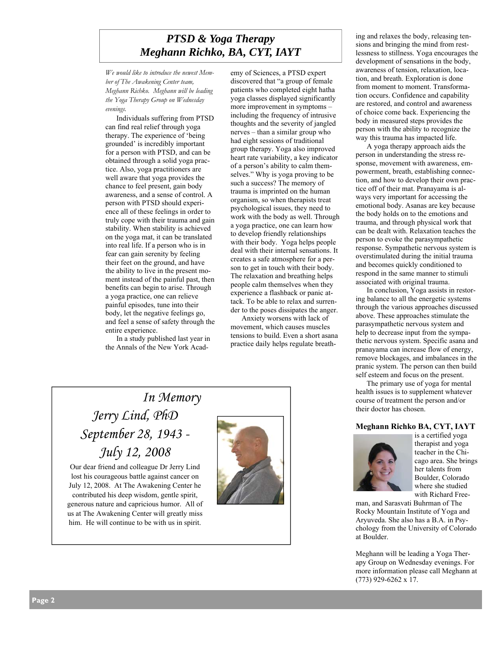# *PTSD & Yoga Therapy Meghann Richko, BA, CYT, IAYT*

*We would like to introduce the newest Member of The Awakening Center team, Meghann Richko. Meghann will be leading the Yoga Therapy Group on Wednesday evenings.* 

Individuals suffering from PTSD can find real relief through yoga therapy. The experience of 'being grounded' is incredibly important for a person with PTSD, and can be obtained through a solid yoga practice. Also, yoga practitioners are well aware that yoga provides the chance to feel present, gain body awareness, and a sense of control. A person with PTSD should experience all of these feelings in order to truly cope with their trauma and gain stability. When stability is achieved on the yoga mat, it can be translated into real life. If a person who is in fear can gain serenity by feeling their feet on the ground, and have the ability to live in the present moment instead of the painful past, then benefits can begin to arise. Through a yoga practice, one can relieve painful episodes, tune into their body, let the negative feelings go, and feel a sense of safety through the entire experience.

In a study published last year in the Annals of the New York Academy of Sciences, a PTSD expert discovered that "a group of female patients who completed eight hatha yoga classes displayed significantly more improvement in symptoms – including the frequency of intrusive thoughts and the severity of jangled nerves – than a similar group who had eight sessions of traditional group therapy. Yoga also improved heart rate variability, a key indicator of a person's ability to calm themselves." Why is yoga proving to be such a success? The memory of trauma is imprinted on the human organism, so when therapists treat psychological issues, they need to work with the body as well. Through a yoga practice, one can learn how to develop friendly relationships with their body. Yoga helps people deal with their internal sensations. It creates a safe atmosphere for a person to get in touch with their body. The relaxation and breathing helps people calm themselves when they experience a flashback or panic attack. To be able to relax and surrender to the poses dissipates the anger.

Anxiety worsens with lack of movement, which causes muscles tensions to build. Even a short asana practice daily helps regulate breath-

# *In Memory Jerry Lind, PhD September 28, 1943 - July 12, 2008*

Our dear friend and colleague Dr Jerry Lind lost his courageous battle against cancer on July 12, 2008. At The Awakening Center he contributed his deep wisdom, gentle spirit, generous nature and capricious humor. All of us at The Awakening Center will greatly miss him. He will continue to be with us in spirit.



ing and relaxes the body, releasing tensions and bringing the mind from restlessness to stillness. Yoga encourages the development of sensations in the body, awareness of tension, relaxation, location, and breath. Exploration is done from moment to moment. Transformation occurs. Confidence and capability are restored, and control and awareness of choice come back. Experiencing the body in measured steps provides the person with the ability to recognize the way this trauma has impacted life.

A yoga therapy approach aids the person in understanding the stress response, movement with awareness, empowerment, breath, establishing connection, and how to develop their own practice off of their mat. Pranayama is always very important for accessing the emotional body. Asanas are key because the body holds on to the emotions and trauma, and through physical work that can be dealt with. Relaxation teaches the person to evoke the parasympathetic response. Sympathetic nervous system is overstimulated during the initial trauma and becomes quickly conditioned to respond in the same manner to stimuli associated with original trauma.

In conclusion, Yoga assists in restoring balance to all the energetic systems through the various approaches discussed above. These approaches stimulate the parasympathetic nervous system and help to decrease input from the sympathetic nervous system. Specific asana and pranayama can increase flow of energy, remove blockages, and imbalances in the pranic system. The person can then build self esteem and focus on the present.

The primary use of yoga for mental health issues is to supplement whatever course of treatment the person and/or their doctor has chosen.

#### **Meghann Richko BA, CYT, IAYT**



is a certified yoga therapist and yoga teacher in the Chicago area. She brings her talents from Boulder, Colorado where she studied with Richard Free-

man, and Sarasvati Buhrman of The Rocky Mountain Institute of Yoga and Aryuveda. She also has a B.A. in Psychology from the University of Colorado at Boulder.

Meghann will be leading a Yoga Therapy Group on Wednesday evenings. For more information please call Meghann at (773) 929-6262 x 17.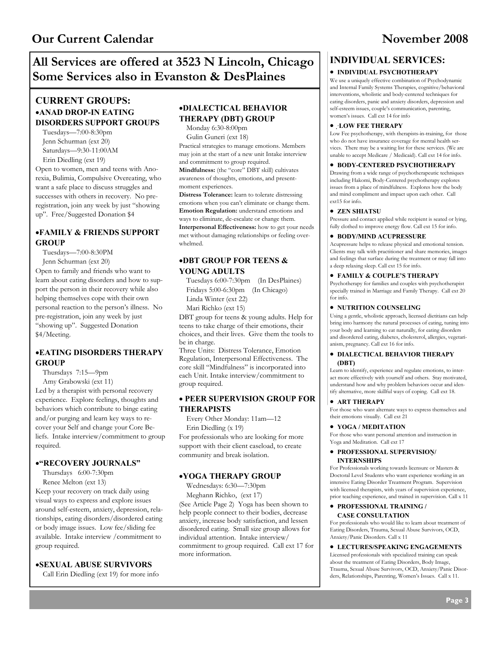# **All Services are offered at 3523 N Lincoln, Chicago Some Services also in Evanston & DesPlaines**

## **CURRENT GROUPS:**  •**ANAD DROP-IN EATING DISORDERS SUPPORT GROUPS**

Tuesdays—7:00-8:30pm Jenn Schurman (ext 20) Saturdays—9:30-11:00AM Erin Diedling (ext 19)

Open to women, men and teens with Anorexia, Bulimia, Compulsive Overeating, who want a safe place to discuss struggles and successes with others in recovery. No preregistration, join any week by just "showing up". Free/Suggested Donation \$4

### •**FAMILY & FRIENDS SUPPORT GROUP**

Tuesdays—7:00-8:30PM Jenn Schurman (ext 20) Open to family and friends who want to learn about eating disorders and how to support the person in their recovery while also

helping themselves cope with their own personal reaction to the person's illness. No pre-registration, join any week by just "showing up". Suggested Donation \$4/Meeting.

### •**EATING DISORDERS THERAPY GROUP**

Thursdays 7:15—9pm Amy Grabowski (ext 11) Led by a therapist with personal recovery experience. Explore feelings, thoughts and behaviors which contribute to binge eating and/or purging and learn key ways to recover your Self and change your Core Beliefs. Intake interview/commitment to group required.

### •**"RECOVERY JOURNALS"**

Thursdays 6:00-7:30pm Renee Melton (ext 13)

Keep your recovery on track daily using visual ways to express and explore issues around self-esteem, anxiety, depression, relationships, eating disorders/disordered eating or body image issues. Low fee/sliding fee available. Intake interview /commitment to group required.

#### •**SEXUAL ABUSE SURVIVORS**

Call Erin Diedling (ext 19) for more info

### •**DIALECTICAL BEHAVIOR THERAPY (DBT) GROUP**

Monday 6:30-8:00pm Gulin Guneri (ext 18) Practical strategies to manage emotions. Members may join at the start of a new unit Intake interview and commitment to group required.

**Mindfulness:** (the "core" DBT skill) cultivates awareness of thoughts, emotions, and presentmoment experiences.

**Distress Tolerance:** learn to tolerate distressing emotions when you can't eliminate or change them. **Emotion Regulation:** understand emotions and ways to eliminate, de-escalate or change them. **Interpersonal Effectiveness:** how to get your needs met without damaging relationships or feeling overwhelmed.

#### •**DBT GROUP FOR TEENS & YOUNG ADULTS**

Tuesdays 6:00-7:30pm (In DesPlaines) Linda Winter (ext 22)

Fridays 5:00-6:30pm (In Chicago)

Mari Richko (ext 15)

DBT group for teens & young adults. Help for teens to take charge of their emotions, their choices, and their lives. Give them the tools to be in charge.

Three Units: Distress Tolerance, Emotion Regulation, Interpersonal Effectiveness. The core skill "Mindfulness" is incorporated into each Unit. Intake interview/commitment to group required.

#### • **PEER SUPERVISION GROUP FOR THERAPISTS**

Every Other Monday: 11am—12 Erin Diedling (x 19)

For professionals who are looking for more support with their client caseload, to create community and break isolation.

#### •**YOGA THERAPY GROUP**

Wednesdays: 6:30—7:30pm Meghann Richko, (ext 17)

(See Article Page 2) Yoga has been shown to help people connect to their bodies, decrease anxiety, increase body satisfaction, and lessen disordered eating. Small size group allows for individual attention. Intake interview/ commitment to group required. Call ext 17 for more information.

## **INDIVIDUAL SERVICES:**

#### • **INDIVIDUAL PSYCHOTHERAPY**

We use a uniquely effective combination of Psychodynamic and Internal Family Systems Therapies, cognitive/behavioral interventions, wholistic and body-centered techniques for eating disorders, panic and anxiety disorders, depression and self-esteem issues, couple's communication, parenting, women's issues. Call ext 14 for info

#### • ·**LOW FEE THERAPY**

Low Fee psychotherapy, with therapists-in-training, for those who do not have insurance coverage for mental health services. There may be a waiting list for these services. (We are unable to accept Medicare / Medicaid). Call ext 14 for info.

#### • **BODY-CENTERED PSYCHOTHERAPY**

Drawing from a wide range of psychotherapeutic techniques including Hakomi, Body-Centered psychotherapy explores issues from a place of mindfulness. Explores how the body and mind compliment and impact upon each other. Call ext15 for info.

#### • **ZEN SHIATSU**

Pressure and contact applied while recipient is seated or lying, fully clothed to improve energy flow. Call ext 15 for info.

#### • **BODY/MIND ACUPRESSURE**

Acupressure helps to release physical and emotional tension. Clients may talk with practitioner and share memories, images and feelings that surface during the treatment or may fall into a deep relaxing sleep. Call ext 15 for info.

#### • **FAMILY & COUPLE'S THERAPY**

Psychotherapy for families and couples with psychotherapist specially trained in Marriage and Family Therapy. Call ext 20 for info.

#### • **NUTRITION COUNSELING**

Using a gentle, wholistic approach, licensed dietitians can help bring into harmony the natural processes of eating, tuning into your body and learning to eat naturally, for eating disorders and disordered eating, diabetes, cholesterol, allergies, vegetarianism, pregnancy. Call ext 16 for info.

#### • **DIALECTICAL BEHAVIOR THERAPY (DBT)**

Learn to identify, experience and regulate emotions, to interact more effectively with yourself and others. Stay motivated, understand how and why problem behaviors occur and identify alternative, more skillful ways of coping. Call ext 18.

#### • **ART THERAPY**

For those who want alternate ways to express themselves and their emotions visually. Call ext 21

#### • **YOGA / MEDITATION**

For those who want personal attention and instruction in Yoga and Meditation. Call ext 17

#### • **PROFESSIONAL SUPERVISION/ INTERNSHIPS**

For Professionals working towards licensure or Masters & Doctoral Level Students who want experience working in an intensive Eating Disorder Treatment Program. Supervision with licensed therapists, with years of supervision experience, prior teaching experience, and trained in supervision. Call x 11

#### • **PROFESSIONAL TRAINING / CASE CONSULTATION**

For professionals who would like to learn about treatment of Eating Disorders, Trauma, Sexual Abuse Survivors, OCD, Anxiety/Panic Disorders. Call x 11

#### • **LECTURES/SPEAKING ENGAGEMENTS**

Licensed professionals with specialized training can speak about the treatment of Eating Disorders, Body Image, Trauma, Sexual Abuse Survivors, OCD, Anxiety/Panic Disorders, Relationships, Parenting, Women's Issues. Call x 11.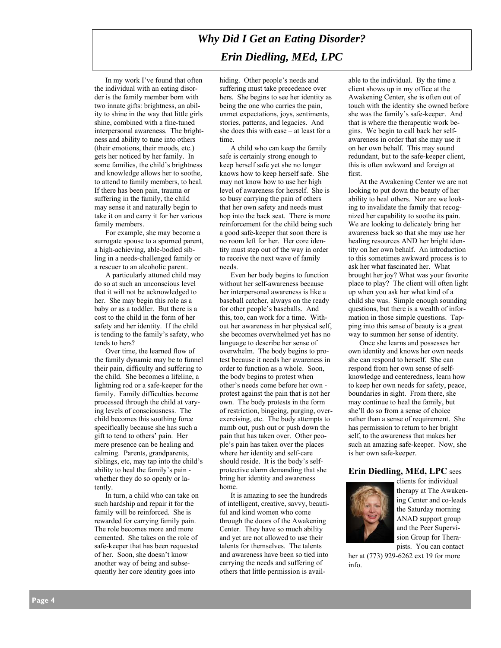# *Why Did I Get an Eating Disorder? Erin Diedling, MEd, LPC*

In my work I've found that often the individual with an eating disorder is the family member born with two innate gifts: brightness, an ability to shine in the way that little girls shine, combined with a fine-tuned interpersonal awareness. The brightness and ability to tune into others (their emotions, their moods, etc.) gets her noticed by her family. In some families, the child's brightness and knowledge allows her to soothe, to attend to family members, to heal. If there has been pain, trauma or suffering in the family, the child may sense it and naturally begin to take it on and carry it for her various family members.

For example, she may become a surrogate spouse to a spurned parent, a high-achieving, able-bodied sibling in a needs-challenged family or a rescuer to an alcoholic parent.

A particularly attuned child may do so at such an unconscious level that it will not be acknowledged to her. She may begin this role as a baby or as a toddler. But there is a cost to the child in the form of her safety and her identity. If the child is tending to the family's safety, who tends to hers?

Over time, the learned flow of the family dynamic may be to funnel their pain, difficulty and suffering to the child. She becomes a lifeline, a lightning rod or a safe-keeper for the family. Family difficulties become processed through the child at varying levels of consciousness. The child becomes this soothing force specifically because she has such a gift to tend to others' pain. Her mere presence can be healing and calming. Parents, grandparents, siblings, etc, may tap into the child's ability to heal the family's pain whether they do so openly or latently.

In turn, a child who can take on such hardship and repair it for the family will be reinforced. She is rewarded for carrying family pain. The role becomes more and more cemented. She takes on the role of safe-keeper that has been requested of her. Soon, she doesn't know another way of being and subsequently her core identity goes into

hiding. Other people's needs and suffering must take precedence over hers. She begins to see her identity as being the one who carries the pain, unmet expectations, joys, sentiments, stories, patterns, and legacies. And she does this with ease – at least for a time.

A child who can keep the family safe is certainly strong enough to keep herself safe yet she no longer knows how to keep herself safe. She may not know how to use her high level of awareness for herself. She is so busy carrying the pain of others that her own safety and needs must hop into the back seat. There is more reinforcement for the child being such a good safe-keeper that soon there is no room left for her. Her core identity must step out of the way in order to receive the next wave of family needs.

Even her body begins to function without her self-awareness because her interpersonal awareness is like a baseball catcher, always on the ready for other people's baseballs. And this, too, can work for a time. Without her awareness in her physical self, she becomes overwhelmed yet has no language to describe her sense of overwhelm. The body begins to protest because it needs her awareness in order to function as a whole. Soon, the body begins to protest when other's needs come before her own protest against the pain that is not her own. The body protests in the form of restriction, bingeing, purging, overexercising, etc. The body attempts to numb out, push out or push down the pain that has taken over. Other people's pain has taken over the places where her identity and self-care should reside. It is the body's selfprotective alarm demanding that she bring her identity and awareness home.

It is amazing to see the hundreds of intelligent, creative, savvy, beautiful and kind women who come through the doors of the Awakening Center. They have so much ability and yet are not allowed to use their talents for themselves. The talents and awareness have been so tied into carrying the needs and suffering of others that little permission is avail-

able to the individual. By the time a client shows up in my office at the Awakening Center, she is often out of touch with the identity she owned before she was the family's safe-keeper. And that is where the therapeutic work begins. We begin to call back her selfawareness in order that she may use it on her own behalf. This may sound redundant, but to the safe-keeper client, this is often awkward and foreign at first.

At the Awakening Center we are not looking to put down the beauty of her ability to heal others. Nor are we looking to invalidate the family that recognized her capability to soothe its pain. We are looking to delicately bring her awareness back so that she may use her healing resources AND her bright identity on her own behalf. An introduction to this sometimes awkward process is to ask her what fascinated her. What brought her joy? What was your favorite place to play? The client will often light up when you ask her what kind of a child she was. Simple enough sounding questions, but there is a wealth of information in those simple questions. Tapping into this sense of beauty is a great way to summon her sense of identity.

Once she learns and possesses her own identity and knows her own needs she can respond to herself. She can respond from her own sense of selfknowledge and centeredness, learn how to keep her own needs for safety, peace, boundaries in sight. From there, she may continue to heal the family, but she'll do so from a sense of choice rather than a sense of requirement. She has permission to return to her bright self, to the awareness that makes her such an amazing safe-keeper. Now, she is her own safe-keeper.

#### **Erin Diedling, MEd, LPC** sees



clients for individual therapy at The Awakening Center and co-leads the Saturday morning ANAD support group and the Peer Supervision Group for Therapists. You can contact

her at (773) 929-6262 ext 19 for more info.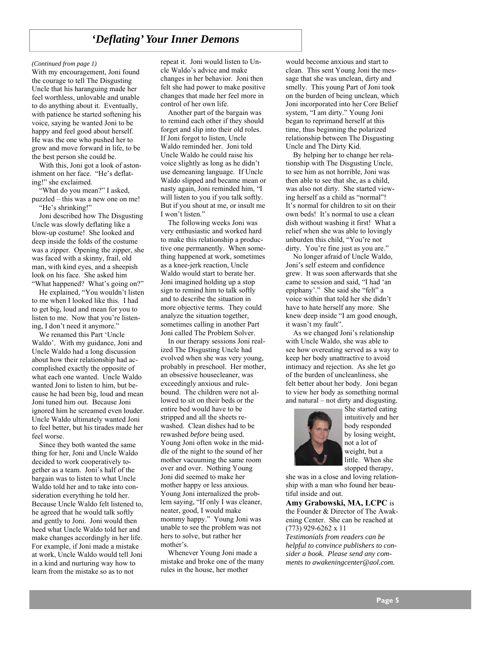# *'Deflating' Your Inner Demons*

With my encouragement, Joni found the courage to tell The Disgusting Uncle that his haranguing made her feel worthless, unlovable and unable to do anything about it. Eventually, with patience he started softening his voice, saying he wanted Joni to be happy and feel good about herself. He was the one who pushed her to grow and move forward in life, to be the best person she could be.

With this, Joni got a look of astonishment on her face. "He's deflating!" she exclaimed.

"What do you mean?" I asked, puzzled – this was a new one on me!

"He's shrinking!"

Joni described how The Disgusting Uncle was slowly deflating like a blow-up costume! She looked and deep inside the folds of the costume was a zipper. Opening the zipper, she was faced with a skinny, frail, old man, with kind eyes, and a sheepish look on his face. She asked him "What happened? What's going on?"

He explained, "You wouldn't listen to me when I looked like this. I had to get big, loud and mean for you to listen to me. Now that you're listening, I don't need it anymore."

We renamed this Part 'Uncle Waldo'. With my guidance, Joni and Uncle Waldo had a long discussion about how their relationship had accomplished exactly the opposite of what each one wanted. Uncle Waldo wanted Joni to listen to him, but because he had been big, loud and mean Joni tuned him out. Because Joni ignored him he screamed even louder. Uncle Waldo ultimately wanted Joni to feel better, but his tirades made her feel worse.

Since they both wanted the same thing for her, Joni and Uncle Waldo decided to work cooperatively together as a team. Joni's half of the bargain was to listen to what Uncle Waldo told her and to take into consideration everything he told her. Because Uncle Waldo felt listened to, he agreed that he would talk softly and gently to Joni. Joni would then heed what Uncle Waldo told her and make changes accordingly in her life. For example, if Joni made a mistake at work, Uncle Waldo would tell Joni in a kind and nurturing way how to learn from the mistake so as to not

*(Continued from page 1)* repeat it. Joni would listen to Uncle Waldo's advice and make changes in her behavior. Joni then felt she had power to make positive changes that made her feel more in control of her own life.

> Another part of the bargain was to remind each other if they should forget and slip into their old roles. If Joni forgot to listen, Uncle Waldo reminded her. Joni told Uncle Waldo he could raise his voice slightly as long as he didn't use demeaning language. If Uncle Waldo slipped and became mean or nasty again, Joni reminded him, "I will listen to you if you talk softly. But if you shout at me, or insult me I won't listen."

> The following weeks Joni was very enthusiastic and worked hard to make this relationship a productive one permanently. When something happened at work, sometimes as a knee-jerk reaction, Uncle Waldo would start to berate her. Joni imagined holding up a stop sign to remind him to talk softly and to describe the situation in more objective terms. They could analyze the situation together, sometimes calling in another Part Joni called The Problem Solver.

> In our therapy sessions Joni realized The Disgusting Uncle had evolved when she was very young, probably in preschool. Her mother, an obsessive housecleaner, was exceedingly anxious and rulebound. The children were not allowed to sit on their beds or the entire bed would have to be stripped and all the sheets rewashed. Clean dishes had to be rewashed *before* being used. Young Joni often woke in the middle of the night to the sound of her mother vacuuming the same room over and over. Nothing Young Joni did seemed to make her mother happy or less anxious. Young Joni internalized the problem saying, "If only I was cleaner, neater, good, I would make mommy happy." Young Joni was unable to see the problem was not hers to solve, but rather her mother's.

Whenever Young Joni made a mistake and broke one of the many rules in the house, her mother

would become anxious and start to clean. This sent Young Joni the message that she was unclean, dirty and smelly. This young Part of Joni took on the burden of being unclean, which Joni incorporated into her Core Belief system, "I am dirty." Young Joni began to reprimand herself at this time, thus beginning the polarized relationship between The Disgusting Uncle and The Dirty Kid.

By helping her to change her relationship with The Disgusting Uncle, to see him as not horrible, Joni was then able to see that she, as a child, was also not dirty. She started viewing herself as a child as "normal"! It's normal for children to sit on their own beds! It's normal to use a clean dish without washing it first! What a relief when she was able to lovingly unburden this child, "You're not dirty. You're fine just as you are."

No longer afraid of Uncle Waldo, Joni's self esteem and confidence grew. It was soon afterwards that she came to session and said, "I had 'an epiphany'." She said she "felt" a voice within that told her she didn't have to hate herself any more. She knew deep inside "I am good enough, it wasn't my fault".

As we changed Joni's relationship with Uncle Waldo, she was able to see how overeating served as a way to keep her body unattractive to avoid intimacy and rejection. As she let go of the burden of uncleanliness, she felt better about her body. Joni began to view her body as something normal and natural – not dirty and disgusting.



She started eating intuitively and her body responded by losing weight, not a lot of weight, but a little. When she stopped therapy,

she was in a close and loving relationship with a man who found her beautiful inside and out.

**Amy Grabowski, MA, LCPC** is the Founder & Director of The Awakening Center. She can be reached at (773) 929-6262 x 11

*Testimonials from readers can be helpful to convince publishers to consider a book. Please send any comments to awakeningcenter@aol.com.*